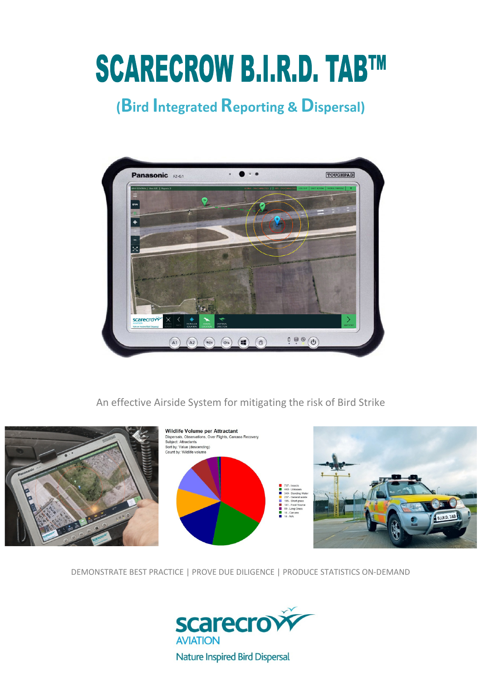# **SCARECROW B.I.R.D. TAB™**

# **(Bird Integrated Reporting & Dispersal)**



An effective Airside System for mitigating the risk of Bird Strike



DEMONSTRATE BEST PRACTICE | PROVE DUE DILIGENCE | PRODUCE STATISTICS ON-DEMAND